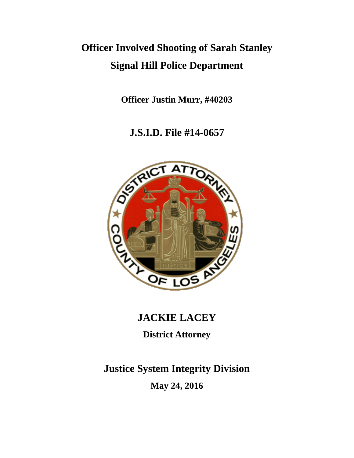# **Officer Involved Shooting of Sarah Stanley Signal Hill Police Department**

**Officer Justin Murr, #40203**

**J.S.I.D. File #14-0657**



### **JACKIE LACEY**

**District Attorney**

## **Justice System Integrity Division**

**May 24, 2016**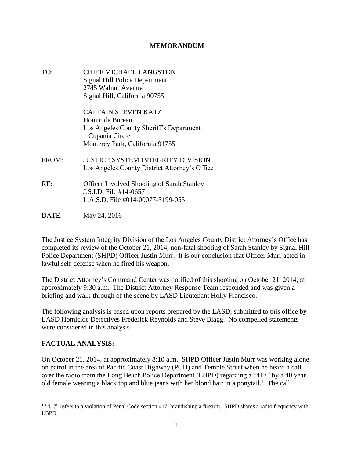#### **MEMORANDUM**

TO: CHIEF MICHAEL LANGSTON Signal Hill Police Department 2745 Walnut Avenue Signal Hill, California 90755 CAPTAIN STEVEN KATZ Homicide Bureau Los Angeles County Sheriff's Department 1 Cupania Circle Monterey Park, California 91755 FROM: JUSTICE SYSTEM INTEGRITY DIVISION Los Angeles County District Attorney's Office RE: Officer Involved Shooting of Sarah Stanley J.S.I.D. File #14-0657 L.A.S.D. File #014-00077-3199-055 DATE: May 24, 2016

The Justice System Integrity Division of the Los Angeles County District Attorney's Office has completed its review of the October 21, 2014, non-fatal shooting of Sarah Stanley by Signal Hill Police Department (SHPD) Officer Justin Murr. It is our conclusion that Officer Murr acted in lawful self-defense when he fired his weapon.

The District Attorney's Command Center was notified of this shooting on October 21, 2014, at approximately 9:30 a.m. The District Attorney Response Team responded and was given a briefing and walk-through of the scene by LASD Lieutenant Holly Francisco.

The following analysis is based upon reports prepared by the LASD, submitted to this office by LASD Homicide Detectives Frederick Reynolds and Steve Blagg. No compelled statements were considered in this analysis.

#### **FACTUAL ANALYSIS:**

On October 21, 2014, at approximately 8:10 a.m., SHPD Officer Justin Murr was working alone on patrol in the area of Pacific Coast Highway (PCH) and Temple Street when he heard a call over the radio from the Long Beach Police Department (LBPD) regarding a "417" by a 40 year old female wearing a black top and blue jeans with her blond hair in a ponytail.<sup>1</sup> The call

 $\overline{\phantom{a}}$ <sup>1</sup> "417" refers to a violation of Penal Code section 417, brandishing a firearm. SHPD shares a radio frequency with LBPD.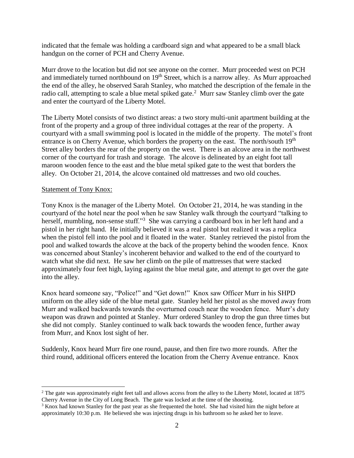indicated that the female was holding a cardboard sign and what appeared to be a small black handgun on the corner of PCH and Cherry Avenue.

Murr drove to the location but did not see anyone on the corner. Murr proceeded west on PCH and immediately turned northbound on 19<sup>th</sup> Street, which is a narrow alley. As Murr approached the end of the alley, he observed Sarah Stanley, who matched the description of the female in the radio call, attempting to scale a blue metal spiked gate.<sup>2</sup> Murr saw Stanley climb over the gate and enter the courtyard of the Liberty Motel.

The Liberty Motel consists of two distinct areas: a two story multi-unit apartment building at the front of the property and a group of three individual cottages at the rear of the property. A courtyard with a small swimming pool is located in the middle of the property. The motel's front entrance is on Cherry Avenue, which borders the property on the east. The north/south  $19<sup>th</sup>$ Street alley borders the rear of the property on the west. There is an alcove area in the northwest corner of the courtyard for trash and storage. The alcove is delineated by an eight foot tall maroon wooden fence to the east and the blue metal spiked gate to the west that borders the alley. On October 21, 2014, the alcove contained old mattresses and two old couches.

#### Statement of Tony Knox:

 $\overline{\phantom{a}}$ 

Tony Knox is the manager of the Liberty Motel. On October 21, 2014, he was standing in the courtyard of the hotel near the pool when he saw Stanley walk through the courtyard "talking to herself, mumbling, non-sense stuff."<sup>3</sup> She was carrying a cardboard box in her left hand and a pistol in her right hand. He initially believed it was a real pistol but realized it was a replica when the pistol fell into the pool and it floated in the water. Stanley retrieved the pistol from the pool and walked towards the alcove at the back of the property behind the wooden fence. Knox was concerned about Stanley's incoherent behavior and walked to the end of the courtyard to watch what she did next. He saw her climb on the pile of mattresses that were stacked approximately four feet high, laying against the blue metal gate, and attempt to get over the gate into the alley.

Knox heard someone say, "Police!" and "Get down!" Knox saw Officer Murr in his SHPD uniform on the alley side of the blue metal gate. Stanley held her pistol as she moved away from Murr and walked backwards towards the overturned couch near the wooden fence. Murr's duty weapon was drawn and pointed at Stanley. Murr ordered Stanley to drop the gun three times but she did not comply. Stanley continued to walk back towards the wooden fence, further away from Murr, and Knox lost sight of her.

Suddenly, Knox heard Murr fire one round, pause, and then fire two more rounds. After the third round, additional officers entered the location from the Cherry Avenue entrance. Knox

<sup>&</sup>lt;sup>2</sup> The gate was approximately eight feet tall and allows access from the alley to the Liberty Motel, located at 1875 Cherry Avenue in the City of Long Beach. The gate was locked at the time of the shooting.

<sup>&</sup>lt;sup>3</sup> Knox had known Stanley for the past year as she frequented the hotel. She had visited him the night before at approximately 10:30 p.m. He believed she was injecting drugs in his bathroom so he asked her to leave.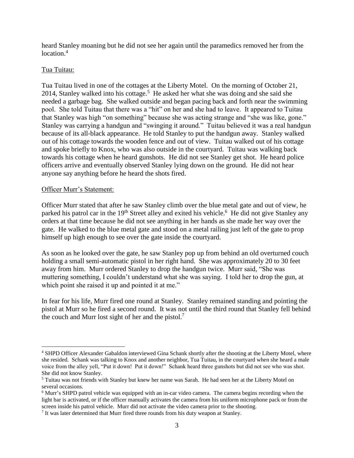heard Stanley moaning but he did not see her again until the paramedics removed her from the location.<sup>4</sup>

#### Tua Tuitau:

Tua Tuitau lived in one of the cottages at the Liberty Motel. On the morning of October 21, 2014, Stanley walked into his cottage.<sup>5</sup> He asked her what she was doing and she said she needed a garbage bag. She walked outside and began pacing back and forth near the swimming pool. She told Tuitau that there was a "hit" on her and she had to leave. It appeared to Tuitau that Stanley was high "on something" because she was acting strange and "she was like, gone." Stanley was carrying a handgun and "swinging it around." Tuitau believed it was a real handgun because of its all-black appearance. He told Stanley to put the handgun away. Stanley walked out of his cottage towards the wooden fence and out of view. Tuitau walked out of his cottage and spoke briefly to Knox, who was also outside in the courtyard. Tuitau was walking back towards his cottage when he heard gunshots. He did not see Stanley get shot. He heard police officers arrive and eventually observed Stanley lying down on the ground. He did not hear anyone say anything before he heard the shots fired.

#### Officer Murr's Statement:

 $\overline{\phantom{a}}$ 

Officer Murr stated that after he saw Stanley climb over the blue metal gate and out of view, he parked his patrol car in the 19<sup>th</sup> Street alley and exited his vehicle.<sup>6</sup> He did not give Stanley any orders at that time because he did not see anything in her hands as she made her way over the gate. He walked to the blue metal gate and stood on a metal railing just left of the gate to prop himself up high enough to see over the gate inside the courtyard.

As soon as he looked over the gate, he saw Stanley pop up from behind an old overturned couch holding a small semi-automatic pistol in her right hand. She was approximately 20 to 30 feet away from him. Murr ordered Stanley to drop the handgun twice. Murr said, "She was muttering something, I couldn't understand what she was saying. I told her to drop the gun, at which point she raised it up and pointed it at me."

In fear for his life, Murr fired one round at Stanley. Stanley remained standing and pointing the pistol at Murr so he fired a second round. It was not until the third round that Stanley fell behind the couch and Murr lost sight of her and the pistol.<sup>7</sup>

<sup>&</sup>lt;sup>4</sup> SHPD Officer Alexander Gabaldon interviewed Gina Schank shortly after the shooting at the Liberty Motel, where she resided. Schank was talking to Knox and another neighbor, Tua Tuitau, in the courtyard when she heard a male voice from the alley yell, "Put it down! Put it down!" Schank heard three gunshots but did not see who was shot. She did not know Stanley.

<sup>5</sup> Tuitau was not friends with Stanley but knew her name was Sarah. He had seen her at the Liberty Motel on several occasions.

<sup>6</sup> Murr's SHPD patrol vehicle was equipped with an in-car video camera. The camera begins recording when the light bar is activated, or if the officer manually activates the camera from his uniform microphone pack or from the screen inside his patrol vehicle. Murr did not activate the video camera prior to the shooting.

 $<sup>7</sup>$  It was later determined that Murr fired three rounds from his duty weapon at Stanley.</sup>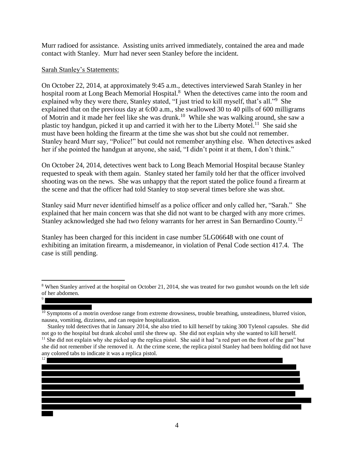Murr radioed for assistance. Assisting units arrived immediately, contained the area and made contact with Stanley. Murr had never seen Stanley before the incident.

#### Sarah Stanley's Statements:

On October 22, 2014, at approximately 9:45 a.m., detectives interviewed Sarah Stanley in her hospital room at Long Beach Memorial Hospital.<sup>8</sup> When the detectives came into the room and explained why they were there, Stanley stated, "I just tried to kill myself, that's all."<sup>9</sup> She explained that on the previous day at 6:00 a.m., she swallowed 30 to 40 pills of 600 milligrams of Motrin and it made her feel like she was drunk.<sup>10</sup> While she was walking around, she saw a plastic toy handgun, picked it up and carried it with her to the Liberty Motel.<sup>11</sup> She said she must have been holding the firearm at the time she was shot but she could not remember. Stanley heard Murr say, "Police!" but could not remember anything else. When detectives asked her if she pointed the handgun at anyone, she said, "I didn't point it at them, I don't think."

On October 24, 2014, detectives went back to Long Beach Memorial Hospital because Stanley requested to speak with them again. Stanley stated her family told her that the officer involved shooting was on the news. She was unhappy that the report stated the police found a firearm at the scene and that the officer had told Stanley to stop several times before she was shot.

Stanley said Murr never identified himself as a police officer and only called her, "Sarah." She explained that her main concern was that she did not want to be charged with any more crimes. Stanley acknowledged she had two felony warrants for her arrest in San Bernardino County.<sup>12</sup>

Stanley has been charged for this incident in case number 5LG06648 with one count of exhibiting an imitation firearm, a misdemeanor, in violation of Penal Code section 417.4. The case is still pending.

 $\overline{a}$ 

<sup>&</sup>lt;sup>8</sup> When Stanley arrived at the hospital on October 21, 2014, she was treated for two gunshot wounds on the left side of her abdomen. 9

 $10$  Symptoms of a motrin overdose range from extreme drowsiness, trouble breathing, unsteadiness, blurred vision, nausea, vomiting, dizziness, and can require hospitalization.

Stanley told detectives that in January 2014, she also tried to kill herself by taking 300 Tylenol capsules. She did not go to the hospital but drank alcohol until she threw up. She did not explain why she wanted to kill herself.  $11$  She did not explain why she picked up the replica pistol. She said it had "a red part on the front of the gun" but she did not remember if she removed it. At the crime scene, the replica pistol Stanley had been holding did not have any colored tabs to indicate it was a replica pistol.

<sup>12</sup>